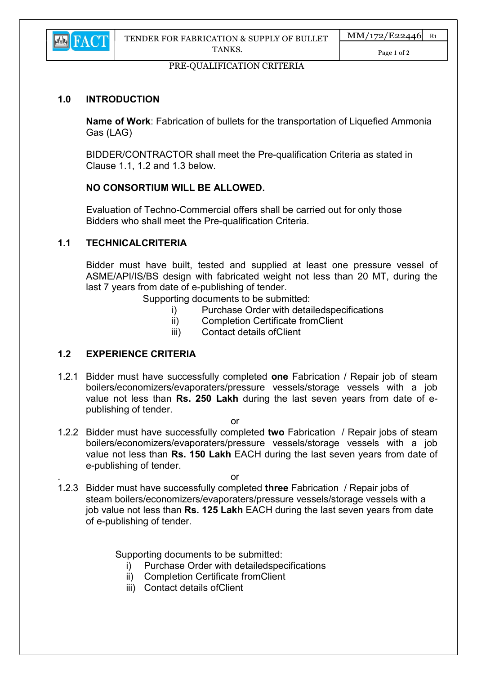

Page 1 of 2

### PRE-QUALIFICATION CRITERIA

## 1.0 INTRODUCTION

Name of Work: Fabrication of bullets for the transportation of Liquefied Ammonia Gas (LAG)

BIDDER/CONTRACTOR shall meet the Pre-qualification Criteria as stated in Clause 1.1, 1.2 and 1.3 below.

# NO CONSORTIUM WILL BE ALLOWED.

Evaluation of Techno-Commercial offers shall be carried out for only those Bidders who shall meet the Pre-qualification Criteria.

## 1.1 TECHNICALCRITERIA

Bidder must have built, tested and supplied at least one pressure vessel of ASME/API/IS/BS design with fabricated weight not less than 20 MT, during the last 7 years from date of e-publishing of tender.

Supporting documents to be submitted:

- i) Purchase Order with detailedspecifications
- ii) Completion Certificate fromClient
- iii) Contact details ofClient

### 1.2 EXPERIENCE CRITERIA

1.2.1 Bidder must have successfully completed one Fabrication / Repair job of steam boilers/economizers/evaporaters/pressure vessels/storage vessels with a job value not less than Rs. 250 Lakh during the last seven years from date of epublishing of tender.

or

1.2.2 Bidder must have successfully completed two Fabrication / Repair jobs of steam boilers/economizers/evaporaters/pressure vessels/storage vessels with a job value not less than Rs. 150 Lakh EACH during the last seven years from date of e-publishing of tender.

. The contract of the contract of the contract of the contract of the contract of the contract of the contract of the contract of the contract of the contract of the contract of the contract of the contract of the contract

1.2.3 Bidder must have successfully completed three Fabrication / Repair jobs of steam boilers/economizers/evaporaters/pressure vessels/storage vessels with a job value not less than Rs. 125 Lakh EACH during the last seven years from date of e-publishing of tender.

Supporting documents to be submitted:

- i) Purchase Order with detailedspecifications
- ii) Completion Certificate fromClient
- iii) Contact details ofClient